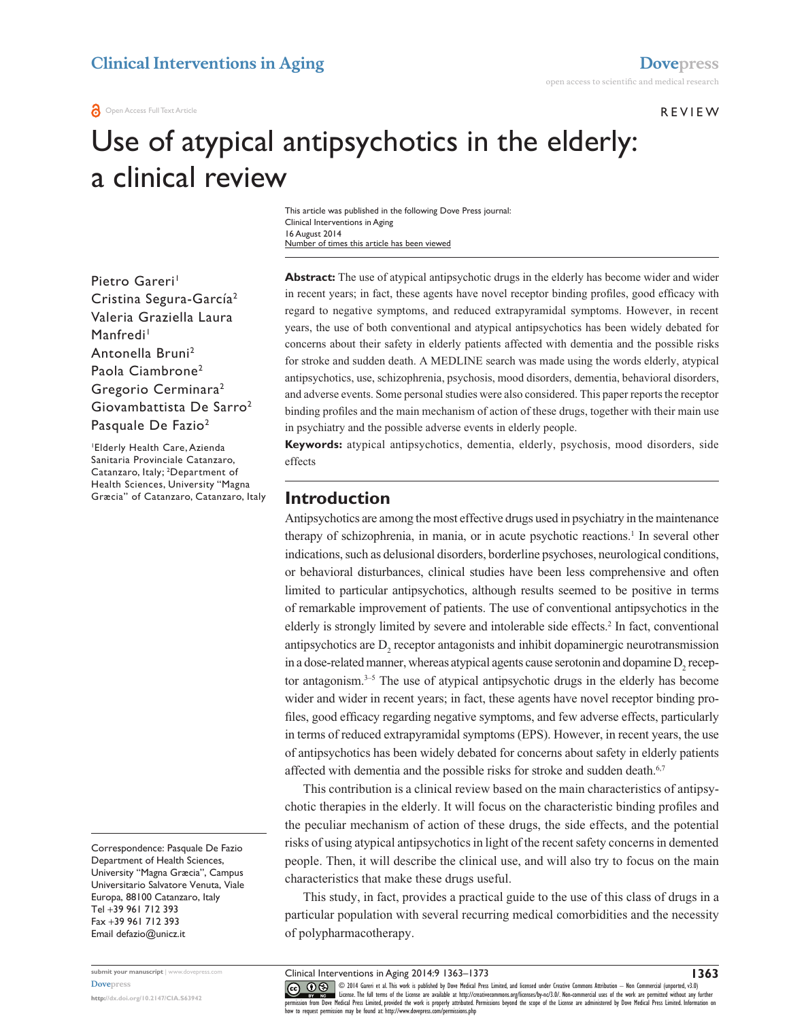#### Open Access Full Text Article

open access to scientific and medical research

#### **REVIEW**

# Use of atypical antipsychotics in the elderly: a clinical review

This article was published in the following Dove Press journal: Clinical Interventions in Aging 16 August 2014 Number of times this article has been viewed

Pietro Gareri<sup>1</sup> Cristina Segura-García2 Valeria Graziella Laura Manfredi<sup>1</sup> Antonella Bruni2 Paola Ciambrone2 Gregorio Cerminara2 Giovambattista De Sarro2 Pasquale De Fazio<sup>2</sup>

1 Elderly Health Care, Azienda Sanitaria Provinciale Catanzaro, Catanzaro, Italy; 2 Department of Health Sciences, University "Magna Græcia" of Catanzaro, Catanzaro, Italy

Correspondence: Pasquale De Fazio Department of Health Sciences, University "Magna Græcia", Campus Universitario Salvatore Venuta, Viale Europa, 88100 Catanzaro, Italy Tel +39 961 712 393 Fax +39 961 712 393 Email [defazio@unicz.it](mailto:defazio@unicz.it)

**<http://dx.doi.org/10.2147/CIA.S63942>**

**Abstract:** The use of atypical antipsychotic drugs in the elderly has become wider and wider in recent years; in fact, these agents have novel receptor binding profiles, good efficacy with regard to negative symptoms, and reduced extrapyramidal symptoms. However, in recent years, the use of both conventional and atypical antipsychotics has been widely debated for concerns about their safety in elderly patients affected with dementia and the possible risks for stroke and sudden death. A MEDLINE search was made using the words elderly, atypical antipsychotics, use, schizophrenia, psychosis, mood disorders, dementia, behavioral disorders, and adverse events. Some personal studies were also considered. This paper reports the receptor binding profiles and the main mechanism of action of these drugs, together with their main use in psychiatry and the possible adverse events in elderly people.

**Keywords:** atypical antipsychotics, dementia, elderly, psychosis, mood disorders, side effects

## **Introduction**

Antipsychotics are among the most effective drugs used in psychiatry in the maintenance therapy of schizophrenia, in mania, or in acute psychotic reactions.<sup>1</sup> In several other indications, such as delusional disorders, borderline psychoses, neurological conditions, or behavioral disturbances, clinical studies have been less comprehensive and often limited to particular antipsychotics, although results seemed to be positive in terms of remarkable improvement of patients. The use of conventional antipsychotics in the elderly is strongly limited by severe and intolerable side effects.<sup>2</sup> In fact, conventional antipsychotics are D<sub>2</sub> receptor antagonists and inhibit dopaminergic neurotransmission in a dose-related manner, whereas atypical agents cause serotonin and dopamine D, receptor antagonism.<sup>3-5</sup> The use of atypical antipsychotic drugs in the elderly has become wider and wider in recent years; in fact, these agents have novel receptor binding profiles, good efficacy regarding negative symptoms, and few adverse effects, particularly in terms of reduced extrapyramidal symptoms (EPS). However, in recent years, the use of antipsychotics has been widely debated for concerns about safety in elderly patients affected with dementia and the possible risks for stroke and sudden death.<sup>6,7</sup>

This contribution is a clinical review based on the main characteristics of antipsychotic therapies in the elderly. It will focus on the characteristic binding profiles and the peculiar mechanism of action of these drugs, the side effects, and the potential risks of using atypical antipsychotics in light of the recent safety concerns in demented people. Then, it will describe the clinical use, and will also try to focus on the main characteristics that make these drugs useful.

This study, in fact, provides a practical guide to the use of this class of drugs in a particular population with several recurring medical comorbidities and the necessity of polypharmacotherapy.

CO ODI4 Gareri et al. This work is published by Dove Medical Press Limited, and licensed under Creative Commons Attribution - Non Commercial (unported, v3.0)<br> [permission from Dove M](http://www.dovepress.com/permissions.php)edical Press Limited, provided the work i how to request permission may be found at: http://www.dovepress.com/permissions.php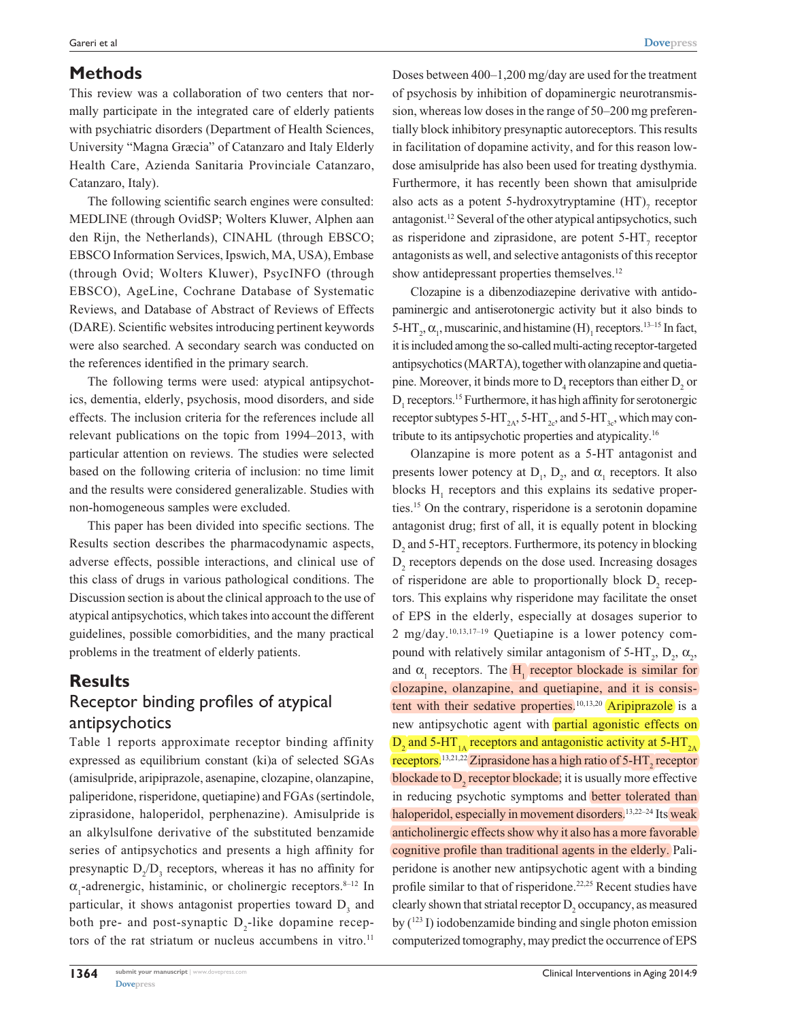## **Methods**

This review was a collaboration of two centers that normally participate in the integrated care of elderly patients with psychiatric disorders (Department of Health Sciences, University "Magna Græcia" of Catanzaro and Italy Elderly Health Care, Azienda Sanitaria Provinciale Catanzaro, Catanzaro, Italy).

The following scientific search engines were consulted: MEDLINE (through OvidSP; Wolters Kluwer, Alphen aan den Rijn, the Netherlands), CINAHL (through EBSCO; EBSCO Information Services, Ipswich, MA, USA), Embase (through Ovid; Wolters Kluwer), PsycINFO (through EBSCO), AgeLine, Cochrane Database of Systematic Reviews, and Database of Abstract of Reviews of Effects (DARE). Scientific websites introducing pertinent keywords were also searched. A secondary search was conducted on the references identified in the primary search.

The following terms were used: atypical antipsychotics, dementia, elderly, psychosis, mood disorders, and side effects. The inclusion criteria for the references include all relevant publications on the topic from 1994–2013, with particular attention on reviews. The studies were selected based on the following criteria of inclusion: no time limit and the results were considered generalizable. Studies with non-homogeneous samples were excluded.

This paper has been divided into specific sections. The Results section describes the pharmacodynamic aspects, adverse effects, possible interactions, and clinical use of this class of drugs in various pathological conditions. The Discussion section is about the clinical approach to the use of atypical antipsychotics, which takes into account the different guidelines, possible comorbidities, and the many practical problems in the treatment of elderly patients.

## **Results** Receptor binding profiles of atypical antipsychotics

Table 1 reports approximate receptor binding affinity expressed as equilibrium constant (ki)a of selected SGAs (amisulpride, aripiprazole, asenapine, clozapine, olanzapine, paliperidone, risperidone, quetiapine) and FGAs (sertindole, ziprasidone, haloperidol, perphenazine). Amisulpride is an alkylsulfone derivative of the substituted benzamide series of antipsychotics and presents a high affinity for presynaptic  $D_2/D_3$  receptors, whereas it has no affinity for  $\alpha_1$ -adrenergic, histaminic, or cholinergic receptors.<sup>8-12</sup> In particular, it shows antagonist properties toward  $D<sub>3</sub>$  and both pre- and post-synaptic  $D_2$ -like dopamine receptors of the rat striatum or nucleus accumbens in vitro.<sup>11</sup>

Doses between 400–1,200 mg/day are used for the treatment of psychosis by inhibition of dopaminergic neurotransmission, whereas low doses in the range of 50–200 mg preferentially block inhibitory presynaptic autoreceptors. This results in facilitation of dopamine activity, and for this reason lowdose amisulpride has also been used for treating dysthymia. Furthermore, it has recently been shown that amisulpride also acts as a potent 5-hydroxytryptamine  $(HT)$ <sub>7</sub> receptor antagonist.<sup>12</sup> Several of the other atypical antipsychotics, such as risperidone and ziprasidone, are potent 5-HT<sub>7</sub> receptor antagonists as well, and selective antagonists of this receptor show antidepressant properties themselves.<sup>12</sup>

Clozapine is a dibenzodiazepine derivative with antidopaminergic and antiserotonergic activity but it also binds to 5-HT<sub>2</sub>,  $\alpha_1$ , muscarinic, and histamine (H)<sub>1</sub> receptors.<sup>13-15</sup> In fact, it is included among the so-called multi-acting receptor-targeted antipsychotics (MARTA), together with olanzapine and quetiapine. Moreover, it binds more to  $D_4$  receptors than either  $D_2$  or D<sub>1</sub> receptors.<sup>15</sup> Furthermore, it has high affinity for serotonergic receptor subtypes 5-HT<sub>24</sub>, 5-HT<sub>2c</sub>, and 5-HT<sub>3c</sub>, which may contribute to its antipsychotic properties and atypicality.16

Olanzapine is more potent as a 5-HT antagonist and presents lower potency at  $D_1$ ,  $D_2$ , and  $\alpha_1$  receptors. It also blocks H<sub>1</sub> receptors and this explains its sedative properties.15 On the contrary, risperidone is a serotonin dopamine antagonist drug; first of all, it is equally potent in blocking D<sub>2</sub> and 5-HT<sub>2</sub> receptors. Furthermore, its potency in blocking D<sub>2</sub> receptors depends on the dose used. Increasing dosages of risperidone are able to proportionally block  $D<sub>2</sub>$  receptors. This explains why risperidone may facilitate the onset of EPS in the elderly, especially at dosages superior to 2 mg/day.10,13,17–19 Quetiapine is a lower potency compound with relatively similar antagonism of  $5-HT_2$ ,  $D_2$ ,  $\alpha_2$ , and  $\alpha_1$  receptors. The H<sub>1</sub> receptor blockade is similar for clozapine, olanzapine, and quetiapine, and it is consistent with their sedative properties.<sup>10,13,20</sup> Aripiprazole is a new antipsychotic agent with partial agonistic effects on  $D_2$  and 5-HT<sub>1A</sub> receptors and antagonistic activity at 5-HT<sub>2A</sub> receptors.<sup>13,21,22</sup> Ziprasidone has a high ratio of  $5-HT_2$  receptor blockade to  $D<sub>2</sub>$  receptor blockade; it is usually more effective in reducing psychotic symptoms and better tolerated than haloperidol, especially in movement disorders.<sup>13,22-24</sup> Its weak anticholinergic effects show why it also has a more favorable cognitive profile than traditional agents in the elderly. Paliperidone is another new antipsychotic agent with a binding profile similar to that of risperidone.<sup>22,25</sup> Recent studies have clearly shown that striatal receptor D<sub>2</sub> occupancy, as measured by (123 I) iodobenzamide binding and single photon emission computerized tomography, may predict the occurrence of EPS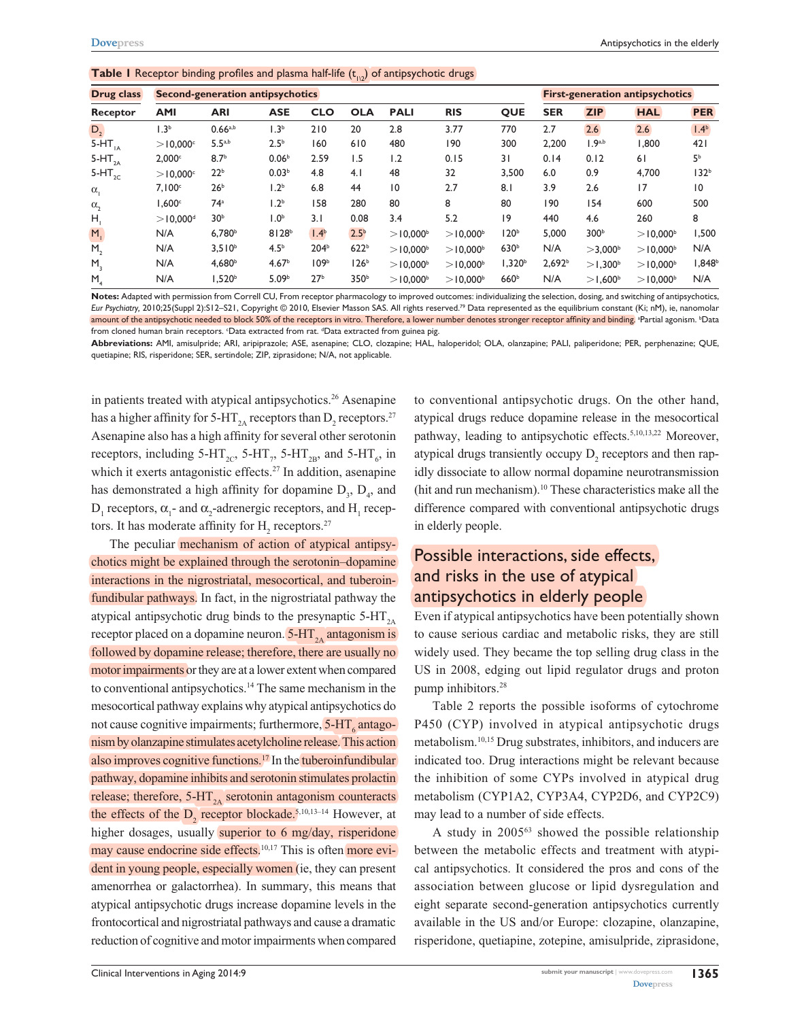### **Table 1** Receptor binding profiles and plasma half-life  $(t_{12})$  of antipsychotic drugs

| <b>Drug class</b>          | Second-generation antipsychotics |                    |                   |                  |                  |                         |                         | <b>First-generation antipsychotics</b> |                    |                      |                         |                  |
|----------------------------|----------------------------------|--------------------|-------------------|------------------|------------------|-------------------------|-------------------------|----------------------------------------|--------------------|----------------------|-------------------------|------------------|
| Receptor                   | <b>AMI</b>                       | <b>ARI</b>         | <b>ASE</b>        | <b>CLO</b>       | <b>OLA</b>       | <b>PALI</b>             | <b>RIS</b>              | <b>QUE</b>                             | <b>SER</b>         | <b>ZIP</b>           | <b>HAL</b>              | <b>PER</b>       |
| $D_{2}$                    | .3 <sup>b</sup>                  | $0.66^{a,b}$       | 1.3 <sup>b</sup>  | 210              | 20               | 2.8                     | 3.77                    | 770                                    | 2.7                | 2.6                  | 2.6                     | 1.4 <sup>b</sup> |
| $5-HTIA$                   | $> 10.000$ <sup>c</sup>          | $5.5^{a,b}$        | 2.5 <sup>b</sup>  | 160              | 610              | 480                     | 190                     | 300                                    | 2,200              | 1.9 <sup>a,b</sup>   | 1,800                   | 421              |
| $5-HT2A$                   | 2,000c                           | 8.7 <sup>b</sup>   | 0.06 <sup>b</sup> | 2.59             | 1.5              | 1.2                     | 0.15                    | 31                                     | 0.14               | 0.12                 | 61                      | 5 <sup>b</sup>   |
| $5-HT_{2C}$                | $> 10,000$ c                     | 22 <sup>b</sup>    | 0.03 <sup>b</sup> | 4.8              | 4.1              | 48                      | 32                      | 3,500                                  | 6.0                | 0.9                  | 4,700                   | 132 <sup>b</sup> |
| $\alpha$                   | 7.100c                           | 26 <sup>b</sup>    | 1.2 <sup>b</sup>  | 6.8              | 44               | 10                      | 2.7                     | 8.1                                    | 3.9                | 2.6                  | 17                      | $\overline{10}$  |
| $\alpha$ ,                 | 1.600c                           | 74 <sup>a</sup>    | 1.2 <sup>b</sup>  | 158              | 280              | 80                      | 8                       | 80                                     | 190                | 154                  | 600                     | 500              |
| H,                         | $>$ 10.000 <sup>d</sup>          | 30 <sup>b</sup>    | 1.0 <sup>b</sup>  | 3.1              | 0.08             | 3.4                     | 5.2                     | 9                                      | 440                | 4.6                  | 260                     | 8                |
| M <sub>1</sub>             | N/A                              | 6.780 <sup>b</sup> | 8128b             | 1.4 <sup>b</sup> | 2.5 <sup>b</sup> | $>$ 10.000 <sup>b</sup> | $>$ 10.000 <sup>b</sup> | 120 <sup>b</sup>                       | 5,000              | 300 <sup>b</sup>     | $>$ 10.000 <sup>b</sup> | 1,500            |
| M <sub>2</sub>             | N/A                              | $3.510^{b}$        | 4.5 <sup>b</sup>  | 204 <sup>b</sup> | 622 <sup>b</sup> | $>$ 10.000 <sup>b</sup> | $>$ 10.000 <sup>b</sup> | 630 <sup>b</sup>                       | N/A                | $>$ 3.000 $^{\circ}$ | $>$ 10.000 <sup>b</sup> | N/A              |
| M,                         | N/A                              | 4.680 <sup>b</sup> | 4.67 <sup>b</sup> | 109 <sup>b</sup> | 126 <sup>b</sup> | $> 10.000$ <sup>b</sup> | $>$ 10.000 <sup>b</sup> | 1,320 <sup>b</sup>                     | 2,692 <sup>b</sup> | $>1.300^{\circ}$     | $>$ 10.000 <sup>b</sup> | $1,848^b$        |
| $M_{\scriptscriptstyle A}$ | N/A                              | 1,520 <sup>b</sup> | 5.09 <sup>b</sup> | 27 <sup>b</sup>  | 350 <sup>b</sup> | $> 10,000^{\circ}$      | $>$ 10.000 <sup>b</sup> | 660 <sup>b</sup>                       | N/A                | $>1.600^b$           | $> 10.000$ <sup>b</sup> | N/A              |

**Notes:** Adapted with permission from Correll CU, From receptor pharmacology to improved outcomes: individualizing the selection, dosing, and switching of antipsychotics, *Eur Psychiatry,* 2010;25(Suppl 2):S12–S21, Copyright © 2010, Elsevier Masson SAS. All rights reserved.<sup>79</sup> Data represented as the equilibrium constant (Ki; nM), ie, nanomolar amount of the antipsychotic needed to block 50% of the receptors in vitro. Therefore, a lower number denotes stronger receptor affinity and binding. <sup>a</sup>Partial agonism. <sup>b</sup>Data from cloned human brain receptors. 'Data extracted from rat. 'Data extracted from guinea pig.

**Abbreviations:** AMI, amisulpride; ARI, aripiprazole; ASE, asenapine; CLO, clozapine; HAL, haloperidol; OlA, olanzapine; PALI, paliperidone; PER, perphenazine; QUE, quetiapine; RIS, risperidone; SER, sertindole; ZIP, ziprasidone; N/A, not applicable.

in patients treated with atypical antipsychotics.26 Asenapine has a higher affinity for 5-HT<sub>2A</sub> receptors than  $D_2$  receptors.<sup>27</sup> Asenapine also has a high affinity for several other serotonin receptors, including  $5-HT_{2C}$ ,  $5-HT_{7}$ ,  $5-HT_{2B}$ , and  $5-HT_{6}$ , in which it exerts antagonistic effects.<sup>27</sup> In addition, asenapine has demonstrated a high affinity for dopamine  $D_3$ ,  $D_4$ , and  $D_1$  receptors,  $\alpha_1$ - and  $\alpha_2$ -adrenergic receptors, and  $H_1$  receptors. It has moderate affinity for  $H<sub>2</sub>$  receptors.<sup>27</sup>

The peculiar mechanism of action of atypical antipsychotics might be explained through the serotonin–dopamine interactions in the nigrostriatal, mesocortical, and tuberoinfundibular pathways. In fact, in the nigrostriatal pathway the atypical antipsychotic drug binds to the presynaptic  $5-HT<sub>2A</sub>$ receptor placed on a dopamine neuron.  $5-HT_{2A}$  antagonism is followed by dopamine release; therefore, there are usually no motor impairments or they are at a lower extent when compared to conventional antipsychotics.14 The same mechanism in the mesocortical pathway explains why atypical antipsychotics do not cause cognitive impairments; furthermore,  $5-HT<sub>6</sub>$  antagonism by olanzapine stimulates acetylcholine release. This action also improves cognitive functions.17 In the tuberoinfundibular pathway, dopamine inhibits and serotonin stimulates prolactin release; therefore,  $5-\text{HT}_{24}$  serotonin antagonism counteracts the effects of the  $D<sub>2</sub>$  receptor blockade.<sup>5,10,13–14</sup> However, at higher dosages, usually superior to 6 mg/day, risperidone may cause endocrine side effects.<sup>10,17</sup> This is often more evident in young people, especially women (ie, they can present amenorrhea or galactorrhea). In summary, this means that atypical antipsychotic drugs increase dopamine levels in the frontocortical and nigrostriatal pathways and cause a dramatic reduction of cognitive and motor impairments when compared

to conventional antipsychotic drugs. On the other hand, atypical drugs reduce dopamine release in the mesocortical pathway, leading to antipsychotic effects.<sup>5,10,13,22</sup> Moreover, atypical drugs transiently occupy  $D<sub>2</sub>$  receptors and then rapidly dissociate to allow normal dopamine neurotransmission (hit and run mechanism).10 These characteristics make all the difference compared with conventional antipsychotic drugs in elderly people.

# Possible interactions, side effects, and risks in the use of atypical antipsychotics in elderly people

Even if atypical antipsychotics have been potentially shown to cause serious cardiac and metabolic risks, they are still widely used. They became the top selling drug class in the US in 2008, edging out lipid regulator drugs and proton pump inhibitors.<sup>28</sup>

Table 2 reports the possible isoforms of cytochrome P450 (CYP) involved in atypical antipsychotic drugs metabolism.10,15 Drug substrates, inhibitors, and inducers are indicated too. Drug interactions might be relevant because the inhibition of some CYPs involved in atypical drug metabolism (CYP1A2, CYP3A4, CYP2D6, and CYP2C9) may lead to a number of side effects.

A study in 200563 showed the possible relationship between the metabolic effects and treatment with atypical antipsychotics. It considered the pros and cons of the association between glucose or lipid dysregulation and eight separate second-generation antipsychotics currently available in the US and/or Europe: clozapine, olanzapine, risperidone, quetiapine, zotepine, amisulpride, ziprasidone,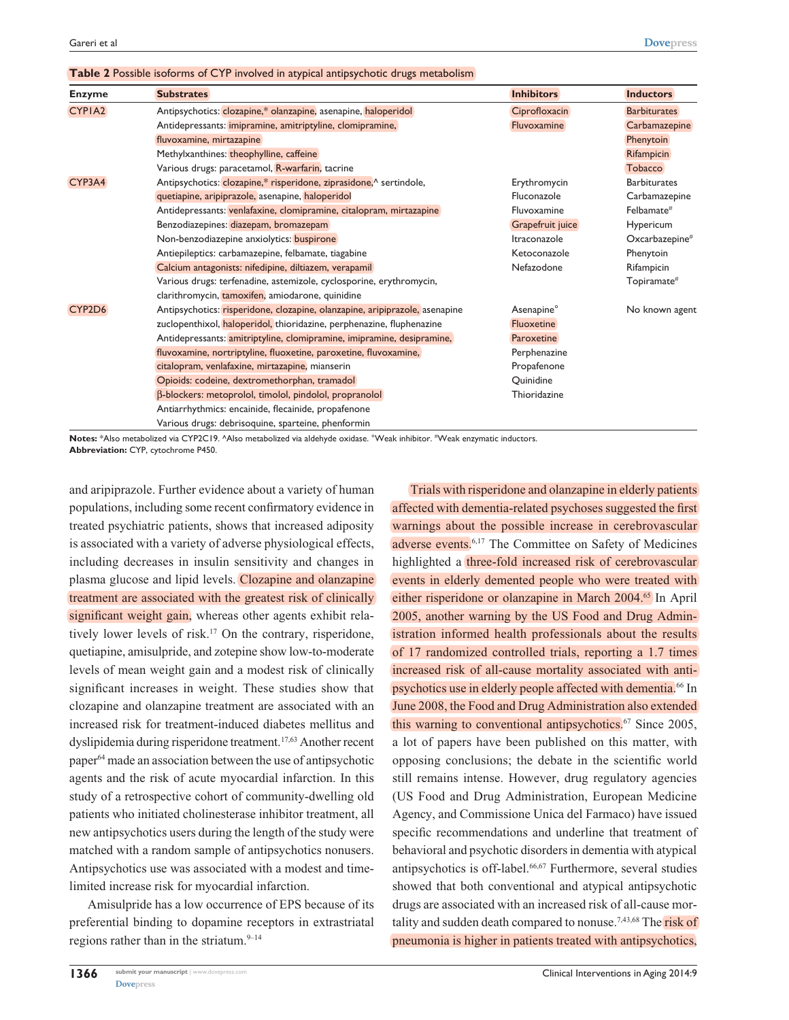#### **Table 2** Possible isoforms of CYP involved in atypical antipsychotic drugs metabolism

| <b>Enzyme</b> | <b>Substrates</b>                                                           | <b>Inhibitors</b> | <b>Inductors</b>        |
|---------------|-----------------------------------------------------------------------------|-------------------|-------------------------|
| <b>CYPIA2</b> | Antipsychotics: clozapine,* olanzapine, asenapine, haloperidol              | Ciprofloxacin     | <b>Barbiturates</b>     |
|               | Antidepressants: imipramine, amitriptyline, clomipramine,                   | Fluvoxamine       | Carbamazepine           |
|               | fluvoxamine, mirtazapine                                                    |                   | Phenytoin               |
|               | Methylxanthines: theophylline, caffeine                                     |                   | <b>Rifampicin</b>       |
|               | Various drugs: paracetamol, R-warfarin, tacrine                             |                   | <b>Tobacco</b>          |
| CYP3A4        | Antipsychotics: clozapine,* risperidone, ziprasidone,^ sertindole,          | Erythromycin      | <b>Barbiturates</b>     |
|               | quetiapine, aripiprazole, asenapine, haloperidol                            | Fluconazole       | Carbamazepine           |
|               | Antidepressants: venlafaxine, clomipramine, citalopram, mirtazapine         | Fluvoxamine       | Felbamate <sup>#</sup>  |
|               | Benzodiazepines: diazepam, bromazepam                                       | Grapefruit juice  | Hypericum               |
|               | Non-benzodiazepine anxiolytics: buspirone                                   | Itraconazole      | Oxcarbazepine#          |
|               | Antiepileptics: carbamazepine, felbamate, tiagabine                         | Ketoconazole      | Phenytoin               |
|               | Calcium antagonists: nifedipine, diltiazem, verapamil                       | Nefazodone        | Rifampicin              |
|               | Various drugs: terfenadine, astemizole, cyclosporine, erythromycin,         |                   | Topiramate <sup>#</sup> |
|               | clarithromycin, tamoxifen, amiodarone, quinidine                            |                   |                         |
| CYP2D6        | Antipsychotics: risperidone, clozapine, olanzapine, aripiprazole, asenapine | Asenapine°        | No known agent          |
|               | zuclopenthixol, haloperidol, thioridazine, perphenazine, fluphenazine       | Fluoxetine        |                         |
|               | Antidepressants: amitriptyline, clomipramine, imipramine, desipramine,      | Paroxetine        |                         |
|               | fluvoxamine, nortriptyline, fluoxetine, paroxetine, fluvoxamine,            | Perphenazine      |                         |
|               | citalopram, venlafaxine, mirtazapine, mianserin                             | Propafenone       |                         |
|               | Opioids: codeine, dextromethorphan, tramadol                                | Quinidine         |                         |
|               | β-blockers: metoprolol, timolol, pindolol, propranolol                      | Thioridazine      |                         |
|               | Antiarrhythmics: encainide, flecainide, propafenone                         |                   |                         |
|               | Various drugs: debrisoquine, sparteine, phenformin                          |                   |                         |

**Notes:** \*Also metabolized via CYP2C19. ^Also metabolized via aldehyde oxidase. °Weak inhibitor. #Weak enzymatic inductors. **Abbreviation:** CYP, cytochrome P450.

and aripiprazole. Further evidence about a variety of human populations, including some recent confirmatory evidence in treated psychiatric patients, shows that increased adiposity is associated with a variety of adverse physiological effects, including decreases in insulin sensitivity and changes in plasma glucose and lipid levels. Clozapine and olanzapine treatment are associated with the greatest risk of clinically significant weight gain, whereas other agents exhibit relatively lower levels of risk.17 On the contrary, risperidone, quetiapine, amisulpride, and zotepine show low-to-moderate levels of mean weight gain and a modest risk of clinically significant increases in weight. These studies show that clozapine and olanzapine treatment are associated with an increased risk for treatment-induced diabetes mellitus and dyslipidemia during risperidone treatment.<sup>17,63</sup> Another recent paper64 made an association between the use of antipsychotic agents and the risk of acute myocardial infarction. In this study of a retrospective cohort of community-dwelling old patients who initiated cholinesterase inhibitor treatment, all new antipsychotics users during the length of the study were matched with a random sample of antipsychotics nonusers. Antipsychotics use was associated with a modest and timelimited increase risk for myocardial infarction.

Amisulpride has a low occurrence of EPS because of its preferential binding to dopamine receptors in extrastriatal regions rather than in the striatum. $9-14$ 

Trials with risperidone and olanzapine in elderly patients affected with dementia-related psychoses suggested the first warnings about the possible increase in cerebrovascular adverse events.6,17 The Committee on Safety of Medicines highlighted a three-fold increased risk of cerebrovascular events in elderly demented people who were treated with either risperidone or olanzapine in March 2004.65 In April 2005, another warning by the US Food and Drug Administration informed health professionals about the results of 17 randomized controlled trials, reporting a 1.7 times increased risk of all-cause mortality associated with antipsychotics use in elderly people affected with dementia.<sup>66</sup> In June 2008, the Food and Drug Administration also extended this warning to conventional antipsychotics.67 Since 2005, a lot of papers have been published on this matter, with opposing conclusions; the debate in the scientific world still remains intense. However, drug regulatory agencies (US Food and Drug Administration, European Medicine Agency, and Commissione Unica del Farmaco) have issued specific recommendations and underline that treatment of behavioral and psychotic disorders in dementia with atypical antipsychotics is off-label.<sup>66,67</sup> Furthermore, several studies showed that both conventional and atypical antipsychotic drugs are associated with an increased risk of all-cause mortality and sudden death compared to nonuse.<sup>7,43,68</sup> The risk of pneumonia is higher in patients treated with antipsychotics,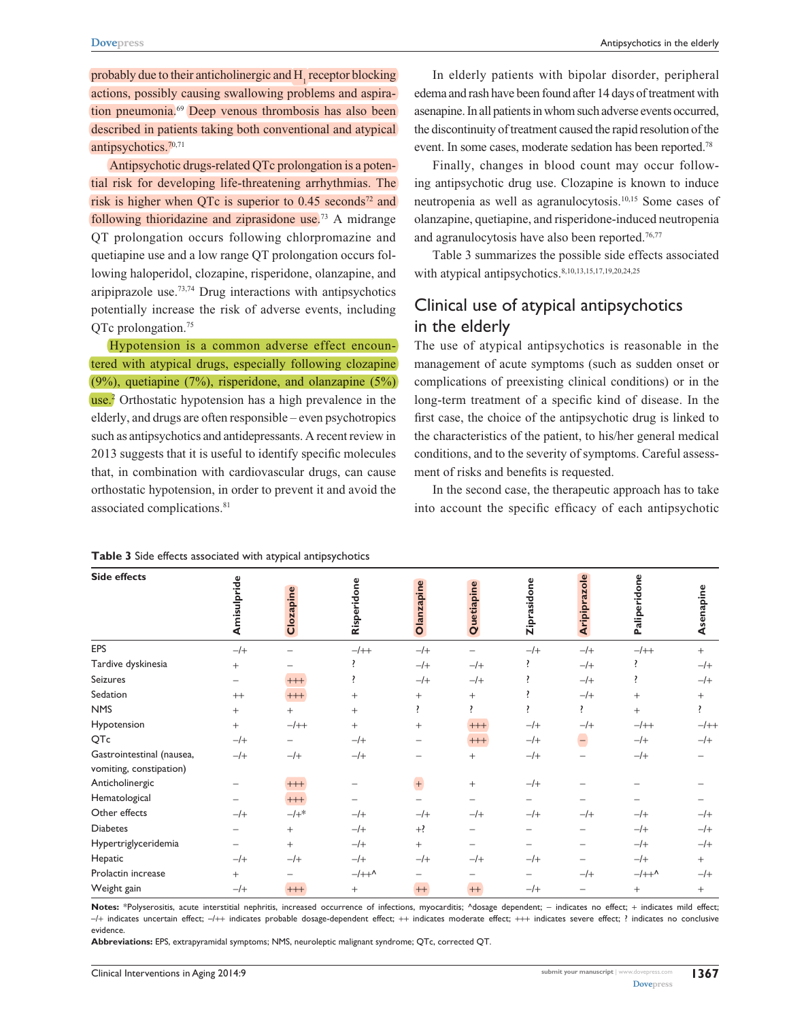Antipsychotics in the elderly

probably due to their anticholinergic and H<sub>1</sub> receptor blocking actions, possibly causing swallowing problems and aspiration pneumonia.69 Deep venous thrombosis has also been described in patients taking both conventional and atypical antipsychotics.70,71

Antipsychotic drugs-related QTc prolongation is a potential risk for developing life-threatening arrhythmias. The risk is higher when QTc is superior to  $0.45$  seconds<sup>72</sup> and following thioridazine and ziprasidone use.<sup>73</sup> A midrange QT prolongation occurs following chlorpromazine and quetiapine use and a low range QT prolongation occurs following haloperidol, clozapine, risperidone, olanzapine, and aripiprazole use.73,74 Drug interactions with antipsychotics potentially increase the risk of adverse events, including QTc prolongation.75

Hypotension is a common adverse effect encountered with atypical drugs, especially following clozapine (9%), quetiapine (7%), risperidone, and olanzapine (5%) use.<sup>2</sup> Orthostatic hypotension has a high prevalence in the elderly, and drugs are often responsible – even psychotropics such as antipsychotics and antidepressants. A recent review in 2013 suggests that it is useful to identify specific molecules that, in combination with cardiovascular drugs, can cause orthostatic hypotension, in order to prevent it and avoid the associated complications.<sup>81</sup>

In elderly patients with bipolar disorder, peripheral edema and rash have been found after 14 days of treatment with asenapine. In all patients in whom such adverse events occurred, the discontinuity of treatment caused the rapid resolution of the event. In some cases, moderate sedation has been reported.78

Finally, changes in blood count may occur following antipsychotic drug use. Clozapine is known to induce neutropenia as well as agranulocytosis.10,15 Some cases of olanzapine, quetiapine, and risperidone-induced neutropenia and agranulocytosis have also been reported.<sup>76,77</sup>

Table 3 summarizes the possible side effects associated with atypical antipsychotics.<sup>8,10,13,15,17,19,20,24,25</sup>

# Clinical use of atypical antipsychotics in the elderly

The use of atypical antipsychotics is reasonable in the management of acute symptoms (such as sudden onset or complications of preexisting clinical conditions) or in the long-term treatment of a specific kind of disease. In the first case, the choice of the antipsychotic drug is linked to the characteristics of the patient, to his/her general medical conditions, and to the severity of symptoms. Careful assessment of risks and benefits is requested.

In the second case, the therapeutic approach has to take into account the specific efficacy of each antipsychotic

| <b>Side effects</b>                                  | Amisulpride | Clozapine   | Risperidone  | Olanzapine                       | Quetiapine | Ziprasidone  | Aripiprazole | Paliperidone    | Asenapine |
|------------------------------------------------------|-------------|-------------|--------------|----------------------------------|------------|--------------|--------------|-----------------|-----------|
| EPS                                                  | $-$ /+      |             | $-$ /++      | $-$ /+                           |            | $-$ /+       | $-$ /+       | $-$ / $+$       | $^{+}$    |
| Tardive dyskinesia                                   | $+$         |             | ?            | $-$ /+                           | $-$ /+     | ŗ            | $-$ /+       | ,               | $-$ /+    |
| Seizures                                             | -           | $++$        | <sup>?</sup> | $-$ /+                           | $-$ /+     |              | $-$ /+       |                 | $-$ /+    |
| Sedation                                             | $^{++}$     | $+++$       | $+$          | $^{+}$                           | $^{+}$     |              | $-$ /+       | $^{+}$          | $^{+}$    |
| <b>NMS</b>                                           | $+$         | $^{+}$      | $+$          | ,                                | ŗ          | $\mathbf{z}$ | ,            | $^{+}$          |           |
| Hypotension                                          | $^{+}$      | $-$ / $+$   | $+$          | $+$                              | $^{+++}$   | $-$ /+       | $-$ /+       | $-$ /++         | $-$ /++   |
| QTc                                                  | $-$ /+      |             | $-$ /+       |                                  | $++$       | $-$ /+       | ٥            | $-$ /+          | $-$ /+    |
| Gastrointestinal (nausea,<br>vomiting, constipation) | $-$ /+      | $-$ /+      | $-$ /+       |                                  | $^{+}$     | $-$ /+       |              | $-$ /+          |           |
| Anticholinergic                                      |             | $+++$       |              | $\begin{array}{c} + \end{array}$ | $+$        | $-$ /+       |              |                 |           |
| Hematological                                        |             | $++$        |              |                                  |            |              |              |                 |           |
| Other effects                                        | $-$ /+      | $-$ / $+$ * | $-$ /+       | $-$ /+                           | $-$ /+     | $-$ /+       | $-$ /+       | $-$ /+          | $-$ /+    |
| <b>Diabetes</b>                                      |             | $+$         | $-$ /+       | $+?$                             |            |              |              | $-$ /+          | $-$ /+    |
| Hypertriglyceridemia                                 |             | $+$         | $-$ /+       | $+$                              |            |              |              | $-$ /+          | $-$ /+    |
| Hepatic                                              | $-$ /+      | $-$ /+      | $-$ /+       | $-$ /+                           | $-$ /+     | $-$ /+       |              | $-$ /+          | $+$       |
| Prolactin increase                                   | $+$         |             | $-/++^$      |                                  |            |              | $-$ /+       | $-/++^{\wedge}$ | $-$ /+    |
| Weight gain                                          | $-$ /+      | $+++$       | $+$          | $+$                              | $^{++}$    | $-$ /+       |              | $^{+}$          | $+$       |

#### **Table 3** Side effects associated with atypical antipsychotics

**Notes:** \*Polyserositis, acute interstitial nephritis, increased occurrence of infections, myocarditis; ^dosage dependent; - indicates no effect; + indicates mild effect;  $-$ /+ indicates uncertain effect;  $-$ /++ indicates probable dosage-dependent effect; ++ indicates moderate effect; +++ indicates severe effect; ? indicates no conclusive evidence.

**Abbreviations:** EPS, extrapyramidal symptoms; NMS, neuroleptic malignant syndrome; QTc, corrected QT.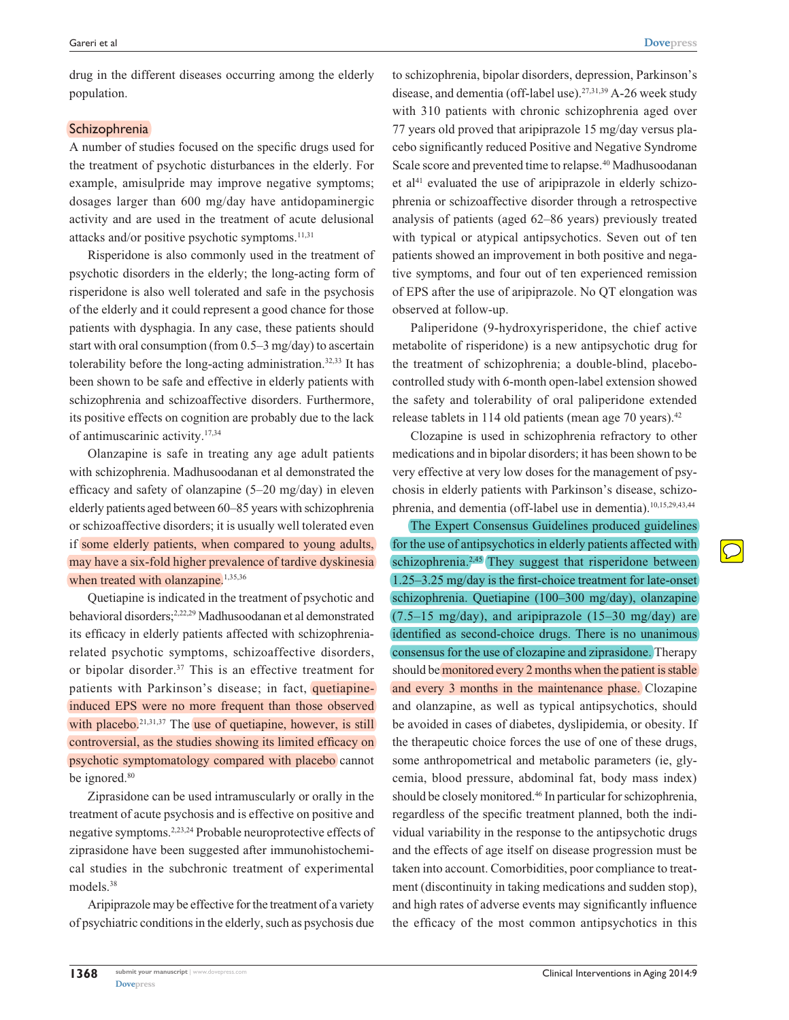drug in the different diseases occurring among the elderly population.

## **Schizophrenia**

A number of studies focused on the specific drugs used for the treatment of psychotic disturbances in the elderly. For example, amisulpride may improve negative symptoms; dosages larger than 600 mg/day have antidopaminergic activity and are used in the treatment of acute delusional attacks and/or positive psychotic symptoms. $11,31$ 

Risperidone is also commonly used in the treatment of psychotic disorders in the elderly; the long-acting form of risperidone is also well tolerated and safe in the psychosis of the elderly and it could represent a good chance for those patients with dysphagia. In any case, these patients should start with oral consumption (from 0.5–3 mg/day) to ascertain tolerability before the long-acting administration.<sup>32,33</sup> It has been shown to be safe and effective in elderly patients with schizophrenia and schizoaffective disorders. Furthermore, its positive effects on cognition are probably due to the lack of antimuscarinic activity.17,34

Olanzapine is safe in treating any age adult patients with schizophrenia. Madhusoodanan et al demonstrated the efficacy and safety of olanzapine (5–20 mg/day) in eleven elderly patients aged between 60–85 years with schizophrenia or schizoaffective disorders; it is usually well tolerated even if some elderly patients, when compared to young adults, may have a six-fold higher prevalence of tardive dyskinesia when treated with olanzapine.<sup>1,35,36</sup>

Quetiapine is indicated in the treatment of psychotic and behavioral disorders;2,22,29 Madhusoodanan et al demonstrated its efficacy in elderly patients affected with schizophreniarelated psychotic symptoms, schizoaffective disorders, or bipolar disorder.37 This is an effective treatment for patients with Parkinson's disease; in fact, quetiapineinduced EPS were no more frequent than those observed with placebo. $21,31,37$  The use of quetiapine, however, is still controversial, as the studies showing its limited efficacy on psychotic symptomatology compared with placebo cannot be ignored.<sup>80</sup>

Ziprasidone can be used intramuscularly or orally in the treatment of acute psychosis and is effective on positive and negative symptoms.2,23,24 Probable neuroprotective effects of ziprasidone have been suggested after immunohistochemical studies in the subchronic treatment of experimental models.38

Aripiprazole may be effective for the treatment of a variety of psychiatric conditions in the elderly, such as psychosis due to schizophrenia, bipolar disorders, depression, Parkinson's disease, and dementia (off-label use).<sup>27,31,39</sup> A-26 week study with 310 patients with chronic schizophrenia aged over 77 years old proved that aripiprazole 15 mg/day versus placebo significantly reduced Positive and Negative Syndrome Scale score and prevented time to relapse.<sup>40</sup> Madhusoodanan et al<sup>41</sup> evaluated the use of aripiprazole in elderly schizophrenia or schizoaffective disorder through a retrospective analysis of patients (aged 62–86 years) previously treated with typical or atypical antipsychotics. Seven out of ten patients showed an improvement in both positive and negative symptoms, and four out of ten experienced remission of EPS after the use of aripiprazole. No QT elongation was observed at follow-up.

Paliperidone (9-hydroxyrisperidone, the chief active metabolite of risperidone) is a new antipsychotic drug for the treatment of schizophrenia; a double-blind, placebocontrolled study with 6-month open-label extension showed the safety and tolerability of oral paliperidone extended release tablets in 114 old patients (mean age 70 years).<sup>42</sup>

Clozapine is used in schizophrenia refractory to other medications and in bipolar disorders; it has been shown to be very effective at very low doses for the management of psychosis in elderly patients with Parkinson's disease, schizophrenia, and dementia (off-label use in dementia).10,15,29,43,44

The Expert Consensus Guidelines produced guidelines for the use of antipsychotics in elderly patients affected with schizophrenia.<sup>2,45</sup> They suggest that risperidone between 1.25–3.25 mg/day is the first-choice treatment for late-onset schizophrenia. Quetiapine (100–300 mg/day), olanzapine  $(7.5-15 \text{ mg/day})$ , and aripiprazole  $(15-30 \text{ mg/day})$  are identified as second-choice drugs. There is no unanimous consensus for the use of clozapine and ziprasidone. Therapy should be monitored every 2 months when the patient is stable and every 3 months in the maintenance phase. Clozapine and olanzapine, as well as typical antipsychotics, should be avoided in cases of diabetes, dyslipidemia, or obesity. If the therapeutic choice forces the use of one of these drugs, some anthropometrical and metabolic parameters (ie, glycemia, blood pressure, abdominal fat, body mass index) should be closely monitored.46 In particular for schizophrenia, regardless of the specific treatment planned, both the individual variability in the response to the antipsychotic drugs and the effects of age itself on disease progression must be taken into account. Comorbidities, poor compliance to treatment (discontinuity in taking medications and sudden stop), and high rates of adverse events may significantly influence the efficacy of the most common antipsychotics in this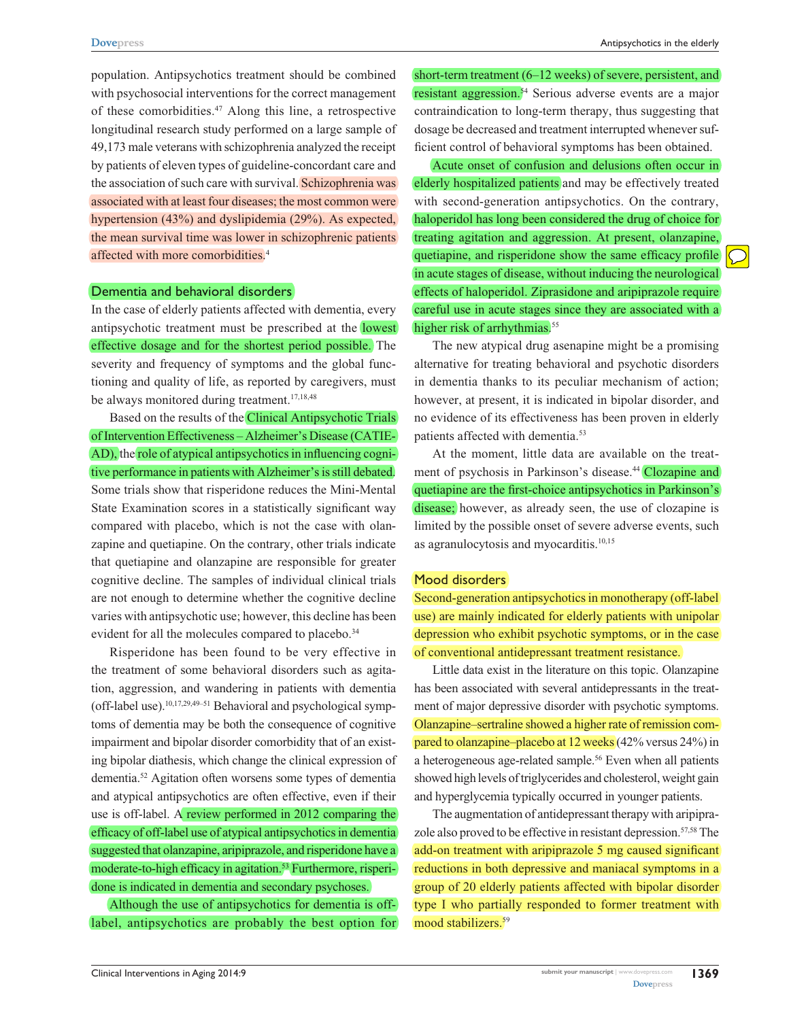population. Antipsychotics treatment should be combined with psychosocial interventions for the correct management of these comorbidities.47 Along this line, a retrospective longitudinal research study performed on a large sample of 49,173 male veterans with schizophrenia analyzed the receipt by patients of eleven types of guideline-concordant care and the association of such care with survival. Schizophrenia was associated with at least four diseases; the most common were hypertension (43%) and dyslipidemia (29%). As expected, the mean survival time was lower in schizophrenic patients affected with more comorbidities.4

## Dementia and behavioral disorders

In the case of elderly patients affected with dementia, every antipsychotic treatment must be prescribed at the lowest effective dosage and for the shortest period possible. The severity and frequency of symptoms and the global functioning and quality of life, as reported by caregivers, must be always monitored during treatment.<sup>17,18,48</sup>

Based on the results of the Clinical Antipsychotic Trials of Intervention Effectiveness – Alzheimer's Disease (CATIE-AD), the role of atypical antipsychotics in influencing cognitive performance in patients with Alzheimer's is still debated. Some trials show that risperidone reduces the Mini-Mental State Examination scores in a statistically significant way compared with placebo, which is not the case with olanzapine and quetiapine. On the contrary, other trials indicate that quetiapine and olanzapine are responsible for greater cognitive decline. The samples of individual clinical trials are not enough to determine whether the cognitive decline varies with antipsychotic use; however, this decline has been evident for all the molecules compared to placebo.<sup>34</sup>

Risperidone has been found to be very effective in the treatment of some behavioral disorders such as agitation, aggression, and wandering in patients with dementia (off-label use).<sup>10,17,29,49–51</sup> Behavioral and psychological symptoms of dementia may be both the consequence of cognitive impairment and bipolar disorder comorbidity that of an existing bipolar diathesis, which change the clinical expression of dementia.52 Agitation often worsens some types of dementia and atypical antipsychotics are often effective, even if their use is off-label. A review performed in 2012 comparing the efficacy of off-label use of atypical antipsychotics in dementia suggested that olanzapine, aripiprazole, and risperidone have a moderate-to-high efficacy in agitation.<sup>53</sup> Furthermore, risperidone is indicated in dementia and secondary psychoses.

Although the use of antipsychotics for dementia is offlabel, antipsychotics are probably the best option for

short-term treatment (6–12 weeks) of severe, persistent, and resistant aggression.54 Serious adverse events are a major contraindication to long-term therapy, thus suggesting that dosage be decreased and treatment interrupted whenever sufficient control of behavioral symptoms has been obtained.

Acute onset of confusion and delusions often occur in elderly hospitalized patients and may be effectively treated with second-generation antipsychotics. On the contrary, haloperidol has long been considered the drug of choice for treating agitation and aggression. At present, olanzapine, quetiapine, and risperidone show the same efficacy profile in acute stages of disease, without inducing the neurological effects of haloperidol. Ziprasidone and aripiprazole require careful use in acute stages since they are associated with a higher risk of arrhythmias.<sup>55</sup>

The new atypical drug asenapine might be a promising alternative for treating behavioral and psychotic disorders in dementia thanks to its peculiar mechanism of action; however, at present, it is indicated in bipolar disorder, and no evidence of its effectiveness has been proven in elderly patients affected with dementia.<sup>53</sup>

At the moment, little data are available on the treatment of psychosis in Parkinson's disease.<sup>44</sup> Clozapine and quetiapine are the first-choice antipsychotics in Parkinson's disease; however, as already seen, the use of clozapine is limited by the possible onset of severe adverse events, such as agranulocytosis and myocarditis.<sup>10,15</sup>

## Mood disorders

Second-generation antipsychotics in monotherapy (off-label use) are mainly indicated for elderly patients with unipolar depression who exhibit psychotic symptoms, or in the case of conventional antidepressant treatment resistance.

Little data exist in the literature on this topic. Olanzapine has been associated with several antidepressants in the treatment of major depressive disorder with psychotic symptoms. Olanzapine–sertraline showed a higher rate of remission compared to olanzapine–placebo at 12 weeks (42% versus 24%) in a heterogeneous age-related sample.<sup>56</sup> Even when all patients showed high levels of triglycerides and cholesterol, weight gain and hyperglycemia typically occurred in younger patients.

The augmentation of antidepressant therapy with aripiprazole also proved to be effective in resistant depression.<sup>57,58</sup> The add-on treatment with aripiprazole 5 mg caused significant reductions in both depressive and maniacal symptoms in a group of 20 elderly patients affected with bipolar disorder type I who partially responded to former treatment with mood stabilizers.<sup>59</sup>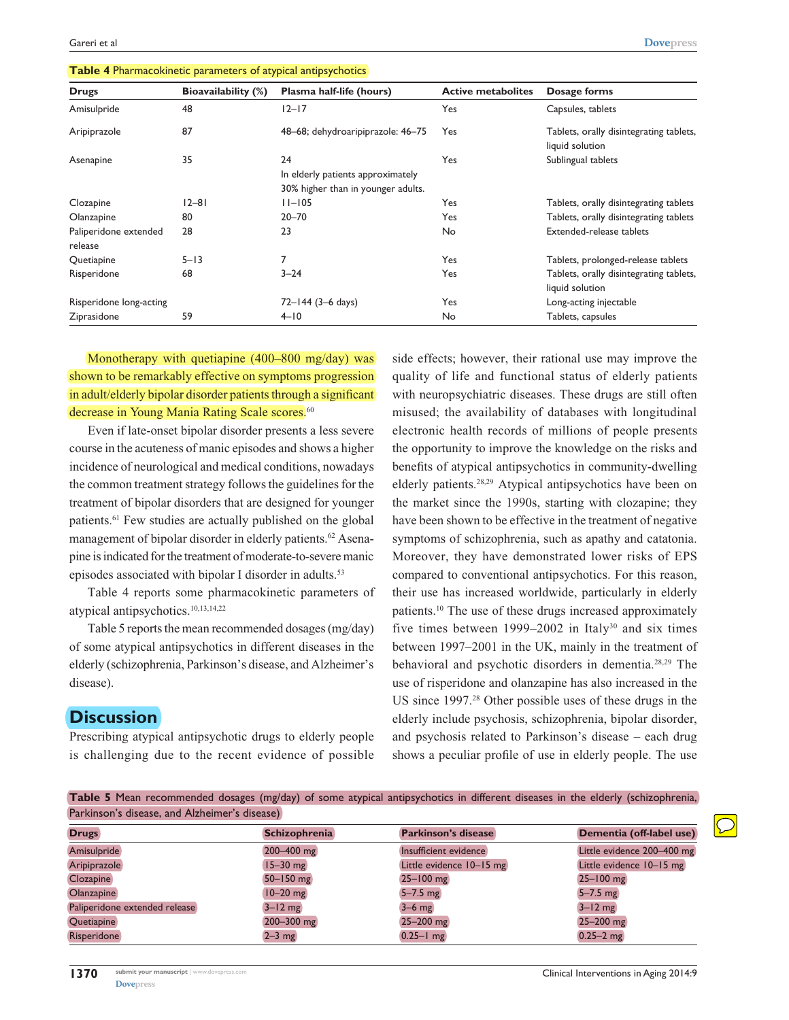| <b>Drugs</b>                     | <b>Bioavailability (%)</b> | Plasma half-life (hours)                                                      | <b>Active metabolites</b> | Dosage forms                                               |
|----------------------------------|----------------------------|-------------------------------------------------------------------------------|---------------------------|------------------------------------------------------------|
| Amisulpride                      | 48                         | $12 - 17$                                                                     | Yes                       | Capsules, tablets                                          |
| Aripiprazole                     | 87                         | 48-68; dehydroaripiprazole: 46-75                                             | Yes                       | Tablets, orally disintegrating tablets,<br>liquid solution |
| Asenapine                        | 35                         | 24<br>In elderly patients approximately<br>30% higher than in younger adults. | <b>Yes</b>                | Sublingual tablets                                         |
| Clozapine                        | $12 - 81$                  | $11 - 105$                                                                    | <b>Yes</b>                | Tablets, orally disintegrating tablets                     |
| Olanzapine                       | 80                         | $20 - 70$                                                                     | <b>Yes</b>                | Tablets, orally disintegrating tablets                     |
| Paliperidone extended<br>release | 28                         | 23                                                                            | No                        | Extended-release tablets                                   |
| Quetiapine                       | $5 - 13$                   | 7                                                                             | Yes                       | Tablets, prolonged-release tablets                         |
| Risperidone                      | 68                         | $3 - 24$                                                                      | Yes                       | Tablets, orally disintegrating tablets,<br>liquid solution |
| Risperidone long-acting          |                            | $72 - 144$ (3-6 days)                                                         | Yes                       | Long-acting injectable                                     |
| Ziprasidone                      | 59                         | $4 - 10$                                                                      | No                        | Tablets, capsules                                          |

**Table 4** Pharmacokinetic parameters of atypical antipsychotics

Monotherapy with quetiapine (400–800 mg/day) was shown to be remarkably effective on symptoms progression in adult/elderly bipolar disorder patients through a significant decrease in Young Mania Rating Scale scores.<sup>60</sup>

Even if late-onset bipolar disorder presents a less severe course in the acuteness of manic episodes and shows a higher incidence of neurological and medical conditions, nowadays the common treatment strategy follows the guidelines for the treatment of bipolar disorders that are designed for younger patients.61 Few studies are actually published on the global management of bipolar disorder in elderly patients.<sup>62</sup> Asenapine is indicated for the treatment of moderate-to-severe manic episodes associated with bipolar I disorder in adults.<sup>53</sup>

Table 4 reports some pharmacokinetic parameters of atypical antipsychotics.10,13,14,22

Table 5 reports the mean recommended dosages (mg/day) of some atypical antipsychotics in different diseases in the elderly (schizophrenia, Parkinson's disease, and Alzheimer's disease).

## **Discussion**

Prescribing atypical antipsychotic drugs to elderly people is challenging due to the recent evidence of possible side effects; however, their rational use may improve the quality of life and functional status of elderly patients with neuropsychiatric diseases. These drugs are still often misused; the availability of databases with longitudinal electronic health records of millions of people presents the opportunity to improve the knowledge on the risks and benefits of atypical antipsychotics in community-dwelling elderly patients.28,29 Atypical antipsychotics have been on the market since the 1990s, starting with clozapine; they have been shown to be effective in the treatment of negative symptoms of schizophrenia, such as apathy and catatonia. Moreover, they have demonstrated lower risks of EPS compared to conventional antipsychotics. For this reason, their use has increased worldwide, particularly in elderly patients.10 The use of these drugs increased approximately five times between 1999–2002 in Italy<sup>30</sup> and six times between 1997–2001 in the UK, mainly in the treatment of behavioral and psychotic disorders in dementia.28,29 The use of risperidone and olanzapine has also increased in the US since 1997.28 Other possible uses of these drugs in the elderly include psychosis, schizophrenia, bipolar disorder, and psychosis related to Parkinson's disease – each drug shows a peculiar profile of use in elderly people. The use

|                                               | Table 5 Mean recommended dosages (mg/day) of some atypical antipsychotics in different diseases in the elderly (schizophrenia, |
|-----------------------------------------------|--------------------------------------------------------------------------------------------------------------------------------|
| Parkinson's disease, and Alzheimer's disease) |                                                                                                                                |

| <b>Drugs</b>                  | <b>Schizophrenia</b> | <b>Parkinson's disease</b> | Dementia (off-label use)   |
|-------------------------------|----------------------|----------------------------|----------------------------|
| Amisulpride                   | 200-400 mg           | Insufficient evidence      | Little evidence 200-400 mg |
| Aripiprazole                  | $15-30$ mg           | Little evidence 10-15 mg   | Little evidence 10-15 mg   |
| Clozapine                     | $50 - 150$ mg        | $25 - 100$ mg              | $25 - 100$ mg              |
| Olanzapine                    | $10-20$ mg           | $5 - 7.5$ mg               | $5 - 7.5$ mg               |
| Paliperidone extended release | $3 - 12$ mg          | $3-6$ mg                   | $3 - 12$ mg                |
| Quetiapine                    | $200 - 300$ mg       | $25 - 200$ mg              | $25 - 200$ mg              |
| Risperidone                   | $2-3$ mg             | $0.25 - 1$ mg              | $0.25 - 2$ mg              |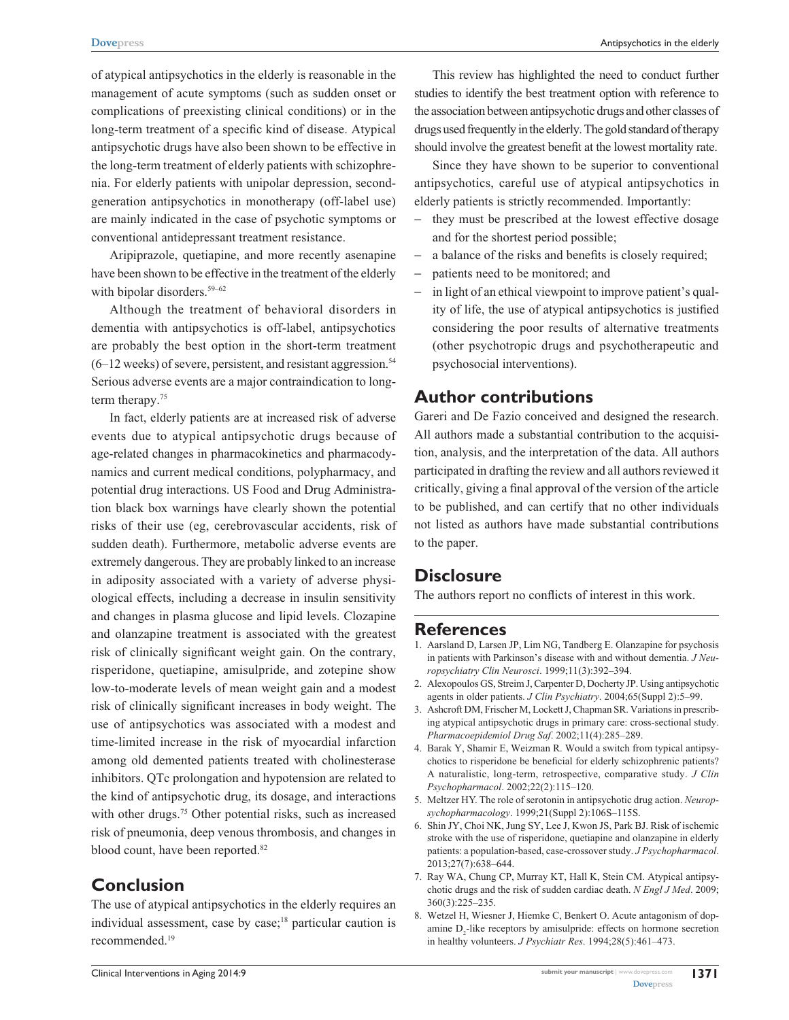of atypical antipsychotics in the elderly is reasonable in the management of acute symptoms (such as sudden onset or complications of preexisting clinical conditions) or in the long-term treatment of a specific kind of disease. Atypical

antipsychotic drugs have also been shown to be effective in the long-term treatment of elderly patients with schizophrenia. For elderly patients with unipolar depression, secondgeneration antipsychotics in monotherapy (off-label use) are mainly indicated in the case of psychotic symptoms or conventional antidepressant treatment resistance.

Aripiprazole, quetiapine, and more recently asenapine have been shown to be effective in the treatment of the elderly with bipolar disorders.<sup>59-62</sup>

Although the treatment of behavioral disorders in dementia with antipsychotics is off-label, antipsychotics are probably the best option in the short-term treatment  $(6–12$  weeks) of severe, persistent, and resistant aggression.<sup>54</sup> Serious adverse events are a major contraindication to longterm therapy.<sup>75</sup>

In fact, elderly patients are at increased risk of adverse events due to atypical antipsychotic drugs because of age-related changes in pharmacokinetics and pharmacodynamics and current medical conditions, polypharmacy, and potential drug interactions. US Food and Drug Administration black box warnings have clearly shown the potential risks of their use (eg, cerebrovascular accidents, risk of sudden death). Furthermore, metabolic adverse events are extremely dangerous. They are probably linked to an increase in adiposity associated with a variety of adverse physiological effects, including a decrease in insulin sensitivity and changes in plasma glucose and lipid levels. Clozapine and olanzapine treatment is associated with the greatest risk of clinically significant weight gain. On the contrary, risperidone, quetiapine, amisulpride, and zotepine show low-to-moderate levels of mean weight gain and a modest risk of clinically significant increases in body weight. The use of antipsychotics was associated with a modest and time-limited increase in the risk of myocardial infarction among old demented patients treated with cholinesterase inhibitors. QTc prolongation and hypotension are related to the kind of antipsychotic drug, its dosage, and interactions with other drugs.<sup>75</sup> Other potential risks, such as increased risk of pneumonia, deep venous thrombosis, and changes in blood count, have been reported.<sup>82</sup>

# **Conclusion**

The use of atypical antipsychotics in the elderly requires an individual assessment, case by case;<sup>18</sup> particular caution is recommended.19

This review has highlighted the need to conduct further studies to identify the best treatment option with reference to the association between antipsychotic drugs and other classes of drugs used frequently in the elderly. The gold standard of therapy should involve the greatest benefit at the lowest mortality rate.

Since they have shown to be superior to conventional antipsychotics, careful use of atypical antipsychotics in elderly patients is strictly recommended. Importantly:

- they must be prescribed at the lowest effective dosage and for the shortest period possible;
- a balance of the risks and benefits is closely required;
- patients need to be monitored; and
- in light of an ethical viewpoint to improve patient's quality of life, the use of atypical antipsychotics is justified considering the poor results of alternative treatments (other psychotropic drugs and psychotherapeutic and psychosocial interventions).

## **Author contributions**

Gareri and De Fazio conceived and designed the research. All authors made a substantial contribution to the acquisition, analysis, and the interpretation of the data. All authors participated in drafting the review and all authors reviewed it critically, giving a final approval of the version of the article to be published, and can certify that no other individuals not listed as authors have made substantial contributions to the paper.

# **Disclosure**

The authors report no conflicts of interest in this work.

## **References**

- 1. Aarsland D, Larsen JP, Lim NG, Tandberg E. Olanzapine for psychosis in patients with Parkinson's disease with and without dementia. *J Neuropsychiatry Clin Neurosci*. 1999;11(3):392–394.
- 2. Alexopoulos GS, Streim J, Carpenter D, Docherty JP. Using antipsychotic agents in older patients. *J Clin Psychiatry*. 2004;65(Suppl 2):5–99.
- 3. Ashcroft DM, Frischer M, Lockett J, Chapman SR. Variations in prescribing atypical antipsychotic drugs in primary care: cross-sectional study. *Pharmacoepidemiol Drug Saf*. 2002;11(4):285–289.
- 4. Barak Y, Shamir E, Weizman R. Would a switch from typical antipsychotics to risperidone be beneficial for elderly schizophrenic patients? A naturalistic, long-term, retrospective, comparative study. *J Clin Psychopharmacol*. 2002;22(2):115–120.
- 5. Meltzer HY. The role of serotonin in antipsychotic drug action. *Neuropsychopharmacology*. 1999;21(Suppl 2):106S–115S.
- 6. Shin JY, Choi NK, Jung SY, Lee J, Kwon JS, Park BJ. Risk of ischemic stroke with the use of risperidone, quetiapine and olanzapine in elderly patients: a population-based, case-crossover study. *J Psychopharmacol*. 2013;27(7):638–644.
- 7. Ray WA, Chung CP, Murray KT, Hall K, Stein CM. Atypical antipsychotic drugs and the risk of sudden cardiac death. *N Engl J Med*. 2009; 360(3):225–235.
- 8. Wetzel H, Wiesner J, Hiemke C, Benkert O. Acute antagonism of dopamine  $D_2$ -like receptors by amisulpride: effects on hormone secretion in healthy volunteers. *J Psychiatr Res*. 1994;28(5):461–473.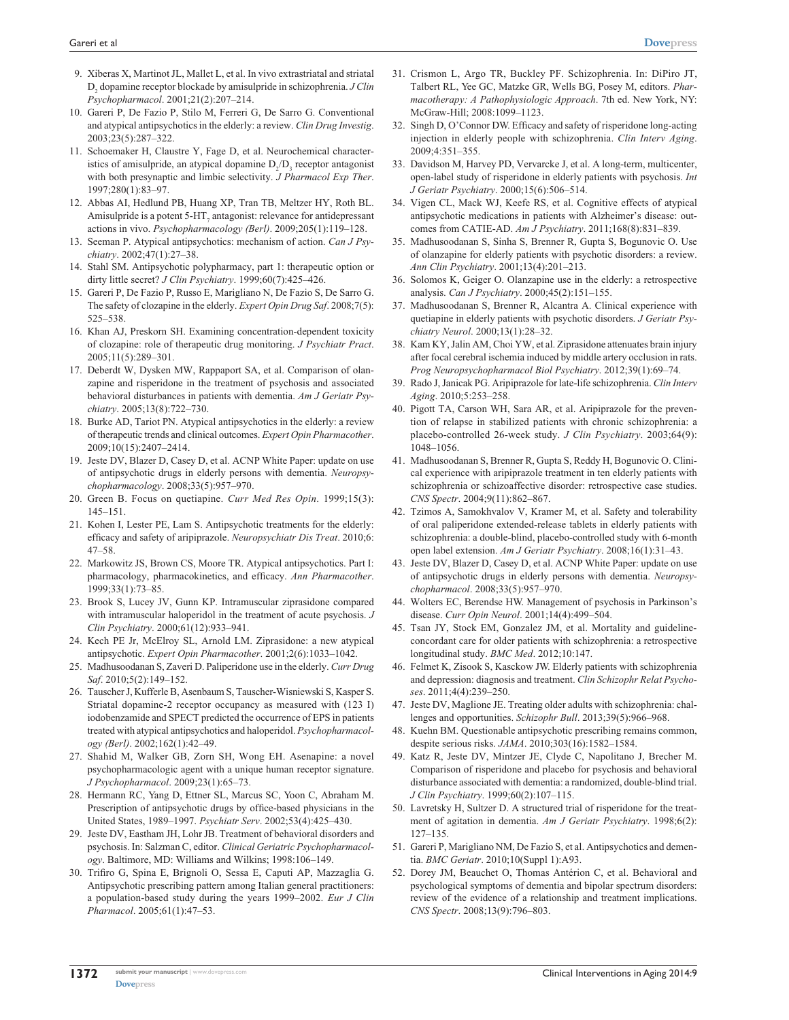- 9. Xiberas X, Martinot JL, Mallet L, et al. In vivo extrastriatal and striatal D2 dopamine receptor blockade by amisulpride in schizophrenia. *J Clin Psychopharmacol*. 2001;21(2):207–214.
- 10. Gareri P, De Fazio P, Stilo M, Ferreri G, De Sarro G. Conventional and atypical antipsychotics in the elderly: a review. *Clin Drug Investig*. 2003;23(5):287–322.
- 11. Schoemaker H, Claustre Y, Fage D, et al. Neurochemical characteristics of amisulpride, an atypical dopamine  $D_2/D_3$  receptor antagonist with both presynaptic and limbic selectivity. *J Pharmacol Exp Ther*. 1997;280(1):83–97.
- 12. Abbas AI, Hedlund PB, Huang XP, Tran TB, Meltzer HY, Roth BL. Amisulpride is a potent 5-HT<sub>2</sub> antagonist: relevance for antidepressant actions in vivo. *Psychopharmacology (Berl)*. 2009;205(1):119–128.
- 13. Seeman P. Atypical antipsychotics: mechanism of action. *Can J Psychiatry*. 2002;47(1):27–38.
- 14. Stahl SM. Antipsychotic polypharmacy, part 1: therapeutic option or dirty little secret? *J Clin Psychiatry*. 1999;60(7):425–426.
- 15. Gareri P, De Fazio P, Russo E, Marigliano N, De Fazio S, De Sarro G. The safety of clozapine in the elderly. *Expert Opin Drug Saf*. 2008;7(5): 525–538.
- 16. Khan AJ, Preskorn SH. Examining concentration-dependent toxicity of clozapine: role of therapeutic drug monitoring. *J Psychiatr Pract*. 2005;11(5):289–301.
- 17. Deberdt W, Dysken MW, Rappaport SA, et al. Comparison of olanzapine and risperidone in the treatment of psychosis and associated behavioral disturbances in patients with dementia. *Am J Geriatr Psychiatry*. 2005;13(8):722–730.
- 18. Burke AD, Tariot PN. Atypical antipsychotics in the elderly: a review of therapeutic trends and clinical outcomes. *Expert Opin Pharmacother*. 2009;10(15):2407–2414.
- 19. Jeste DV, Blazer D, Casey D, et al. ACNP White Paper: update on use of antipsychotic drugs in elderly persons with dementia. *Neuropsychopharmacology*. 2008;33(5):957–970.
- 20. Green B. Focus on quetiapine. *Curr Med Res Opin*. 1999;15(3): 145–151.
- 21. Kohen I, Lester PE, Lam S. Antipsychotic treatments for the elderly: efficacy and safety of aripiprazole. *Neuropsychiatr Dis Treat*. 2010;6: 47–58.
- 22. Markowitz JS, Brown CS, Moore TR. Atypical antipsychotics. Part I: pharmacology, pharmacokinetics, and efficacy. *Ann Pharmacother*. 1999;33(1):73–85.
- 23. Brook S, Lucey JV, Gunn KP. Intramuscular ziprasidone compared with intramuscular haloperidol in the treatment of acute psychosis. *J Clin Psychiatry*. 2000;61(12):933–941.
- 24. Kech PE Jr, McElroy SL, Arnold LM. Ziprasidone: a new atypical antipsychotic. *Expert Opin Pharmacother*. 2001;2(6):1033–1042.
- 25. Madhusoodanan S, Zaveri D. Paliperidone use in the elderly. *Curr Drug Saf*. 2010;5(2):149–152.
- 26. Tauscher J, Kufferle B, Asenbaum S, Tauscher-Wisniewski S, Kasper S. Striatal dopamine-2 receptor occupancy as measured with (123 I) iodobenzamide and SPECT predicted the occurrence of EPS in patients treated with atypical antipsychotics and haloperidol. *Psychopharmacology (Berl)*. 2002;162(1):42–49.
- 27. Shahid M, Walker GB, Zorn SH, Wong EH. Asenapine: a novel psychopharmacologic agent with a unique human receptor signature. *J Psychopharmacol*. 2009;23(1):65–73.
- 28. Hermann RC, Yang D, Ettner SL, Marcus SC, Yoon C, Abraham M. Prescription of antipsychotic drugs by office-based physicians in the United States, 1989–1997. *Psychiatr Serv*. 2002;53(4):425–430.
- 29. Jeste DV, Eastham JH, Lohr JB. Treatment of behavioral disorders and psychosis. In: Salzman C, editor. *Clinical Geriatric Psychopharmacology*. Baltimore, MD: Williams and Wilkins; 1998:106–149.
- 30. Trifiro G, Spina E, Brignoli O, Sessa E, Caputi AP, Mazzaglia G. Antipsychotic prescribing pattern among Italian general practitioners: a population-based study during the years 1999–2002. *Eur J Clin Pharmacol*. 2005;61(1):47–53.
- 31. Crismon L, Argo TR, Buckley PF. Schizophrenia. In: DiPiro JT, Talbert RL, Yee GC, Matzke GR, Wells BG, Posey M, editors. *Pharmacotherapy: A Pathophysiologic Approach*. 7th ed. New York, NY: McGraw-Hill; 2008:1099–1123.
- 32. Singh D, O'Connor DW. Efficacy and safety of risperidone long-acting injection in elderly people with schizophrenia. *Clin Interv Aging*. 2009;4:351–355.
- 33. Davidson M, Harvey PD, Vervarcke J, et al. A long-term, multicenter, open-label study of risperidone in elderly patients with psychosis. *Int J Geriatr Psychiatry*. 2000;15(6):506–514.
- 34. Vigen CL, Mack WJ, Keefe RS, et al. Cognitive effects of atypical antipsychotic medications in patients with Alzheimer's disease: outcomes from CATIE-AD. *Am J Psychiatry*. 2011;168(8):831–839.
- 35. Madhusoodanan S, Sinha S, Brenner R, Gupta S, Bogunovic O. Use of olanzapine for elderly patients with psychotic disorders: a review. *Ann Clin Psychiatry*. 2001;13(4):201–213.
- 36. Solomos K, Geiger O. Olanzapine use in the elderly: a retrospective analysis. *Can J Psychiatry*. 2000;45(2):151–155.
- 37. Madhusoodanan S, Brenner R, Alcantra A. Clinical experience with quetiapine in elderly patients with psychotic disorders. *J Geriatr Psychiatry Neurol*. 2000;13(1):28–32.
- 38. Kam KY, Jalin AM, Choi YW, et al. Ziprasidone attenuates brain injury after focal cerebral ischemia induced by middle artery occlusion in rats. *Prog Neuropsychopharmacol Biol Psychiatry*. 2012;39(1):69–74.
- 39. Rado J, Janicak PG. Aripiprazole for late-life schizophrenia. *Clin Interv Aging*. 2010;5:253–258.
- 40. Pigott TA, Carson WH, Sara AR, et al. Aripiprazole for the prevention of relapse in stabilized patients with chronic schizophrenia: a placebo-controlled 26-week study. *J Clin Psychiatry*. 2003;64(9): 1048–1056.
- 41. Madhusoodanan S, Brenner R, Gupta S, Reddy H, Bogunovic O. Clinical experience with aripiprazole treatment in ten elderly patients with schizophrenia or schizoaffective disorder: retrospective case studies. *CNS Spectr*. 2004;9(11):862–867.
- 42. Tzimos A, Samokhvalov V, Kramer M, et al. Safety and tolerability of oral paliperidone extended-release tablets in elderly patients with schizophrenia: a double-blind, placebo-controlled study with 6-month open label extension. *Am J Geriatr Psychiatry*. 2008;16(1):31–43.
- 43. Jeste DV, Blazer D, Casey D, et al. ACNP White Paper: update on use of antipsychotic drugs in elderly persons with dementia. *Neuropsychopharmacol*. 2008;33(5):957–970.
- 44. Wolters EC, Berendse HW. Management of psychosis in Parkinson's disease. *Curr Opin Neurol*. 2001;14(4):499–504.
- 45. Tsan JY, Stock EM, Gonzalez JM, et al. Mortality and guidelineconcordant care for older patients with schizophrenia: a retrospective longitudinal study. *BMC Med*. 2012;10:147.
- 46. Felmet K, Zisook S, Kasckow JW. Elderly patients with schizophrenia and depression: diagnosis and treatment. *Clin Schizophr Relat Psychoses*. 2011;4(4):239–250.
- 47. Jeste DV, Maglione JE. Treating older adults with schizophrenia: challenges and opportunities. *Schizophr Bull*. 2013;39(5):966–968.
- 48. Kuehn BM. Questionable antipsychotic prescribing remains common, despite serious risks. *JAMA*. 2010;303(16):1582–1584.
- 49. Katz R, Jeste DV, Mintzer JE, Clyde C, Napolitano J, Brecher M. Comparison of risperidone and placebo for psychosis and behavioral disturbance associated with dementia: a randomized, double-blind trial. *J Clin Psychiatry*. 1999;60(2):107–115.
- 50. Lavretsky H, Sultzer D. A structured trial of risperidone for the treatment of agitation in dementia. *Am J Geriatr Psychiatry*. 1998;6(2): 127–135.
- 51. Gareri P, Marigliano NM, De Fazio S, et al. Antipsychotics and dementia. *BMC Geriatr*. 2010;10(Suppl 1):A93.
- 52. Dorey JM, Beauchet O, Thomas Antérion C, et al. Behavioral and psychological symptoms of dementia and bipolar spectrum disorders: review of the evidence of a relationship and treatment implications. *CNS Spectr*. 2008;13(9):796–803.